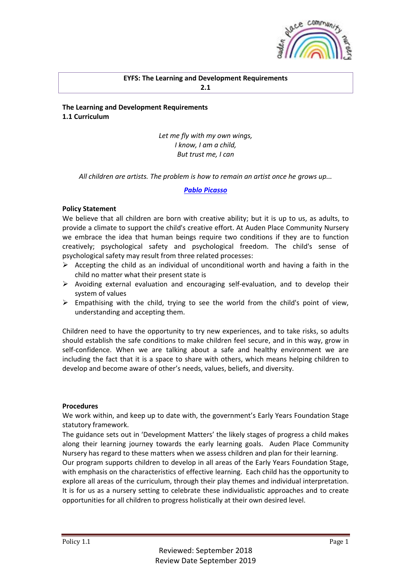

### **EYFS: The Learning and Development Requirements 2.1**

**The Learning and Development Requirements 1.1 Curriculum**

> *Let me fly with my own wings, I know, I am a child, But trust me, I can*

*All children are artists. The problem is how to remain an artist once he grows up...*

### *[Pablo Picasso](http://quotes.zaadz.com/Pablo_Picasso)*

### **Policy Statement**

We believe that all children are born with creative ability; but it is up to us, as adults, to provide a climate to support the child's creative effort. At Auden Place Community Nursery we embrace the idea that human beings require two conditions if they are to function creatively; psychological safety and psychological freedom. The child's sense of psychological safety may result from three related processes:

- $\triangleright$  Accepting the child as an individual of unconditional worth and having a faith in the child no matter what their present state is
- $\triangleright$  Avoiding external evaluation and encouraging self-evaluation, and to develop their system of values
- $\triangleright$  Empathising with the child, trying to see the world from the child's point of view, understanding and accepting them.

Children need to have the opportunity to try new experiences, and to take risks, so adults should establish the safe conditions to make children feel secure, and in this way, grow in self-confidence. When we are talking about a safe and healthy environment we are including the fact that it is a space to share with others, which means helping children to develop and become aware of other's needs, values, beliefs, and diversity.

### **Procedures**

We work within, and keep up to date with, the government's Early Years Foundation Stage statutory framework.

The guidance sets out in 'Development Matters' the likely stages of progress a child makes along their learning journey towards the early learning goals. Auden Place Community Nursery has regard to these matters when we assess children and plan for their learning.

Our program supports children to develop in all areas of the Early Years Foundation Stage, with emphasis on the characteristics of effective learning. Each child has the opportunity to explore all areas of the curriculum, through their play themes and individual interpretation. It is for us as a nursery setting to celebrate these individualistic approaches and to create opportunities for all children to progress holistically at their own desired level.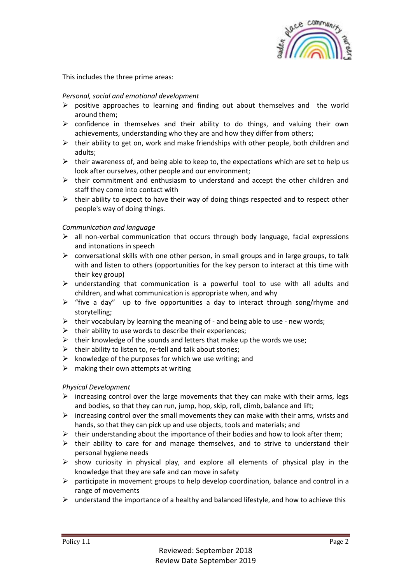

This includes the three prime areas:

### *Personal, social and emotional development*

- $\triangleright$  positive approaches to learning and finding out about themselves and the world around them;
- $\triangleright$  confidence in themselves and their ability to do things, and valuing their own achievements, understanding who they are and how they differ from others;
- $\triangleright$  their ability to get on, work and make friendships with other people, both children and adults;
- $\triangleright$  their awareness of, and being able to keep to, the expectations which are set to help us look after ourselves, other people and our environment;
- $\triangleright$  their commitment and enthusiasm to understand and accept the other children and staff they come into contact with
- $\triangleright$  their ability to expect to have their way of doing things respected and to respect other people's way of doing things.

### *Communication and language*

- $\triangleright$  all non-verbal communication that occurs through body language, facial expressions and intonations in speech
- $\triangleright$  conversational skills with one other person, in small groups and in large groups, to talk with and listen to others (opportunities for the key person to interact at this time with their key group)
- $\triangleright$  understanding that communication is a powerful tool to use with all adults and children, and what communication is appropriate when, and why
- $\triangleright$  "five a day" up to five opportunities a day to interact through song/rhyme and storytelling;
- $\triangleright$  their vocabulary by learning the meaning of and being able to use new words;
- $\triangleright$  their ability to use words to describe their experiences;
- $\triangleright$  their knowledge of the sounds and letters that make up the words we use;
- $\triangleright$  their ability to listen to, re-tell and talk about stories;
- $\triangleright$  knowledge of the purposes for which we use writing; and
- $\triangleright$  making their own attempts at writing

### *Physical Development*

- $\triangleright$  increasing control over the large movements that they can make with their arms, legs and bodies, so that they can run, jump, hop, skip, roll, climb, balance and lift;
- $\triangleright$  increasing control over the small movements they can make with their arms, wrists and hands, so that they can pick up and use objects, tools and materials; and
- $\triangleright$  their understanding about the importance of their bodies and how to look after them;
- $\triangleright$  their ability to care for and manage themselves, and to strive to understand their personal hygiene needs
- $\triangleright$  show curiosity in physical play, and explore all elements of physical play in the knowledge that they are safe and can move in safety
- ➢ participate in movement groups to help develop coordination, balance and control in a range of movements
- $\triangleright$  understand the importance of a healthy and balanced lifestyle, and how to achieve this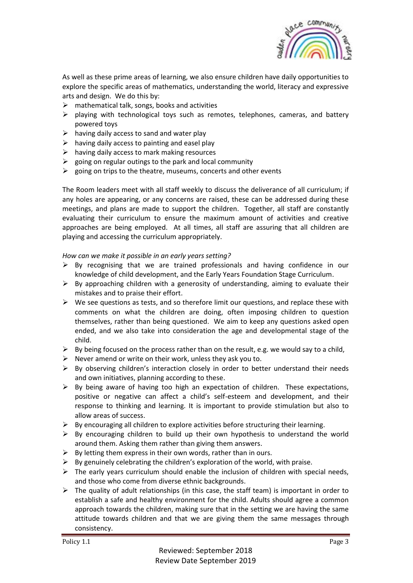

As well as these prime areas of learning, we also ensure children have daily opportunities to explore the specific areas of mathematics, understanding the world, literacy and expressive arts and design. We do this by:

- $\triangleright$  mathematical talk, songs, books and activities
- $\triangleright$  playing with technological toys such as remotes, telephones, cameras, and battery powered toys
- $\triangleright$  having daily access to sand and water play
- $\triangleright$  having daily access to painting and easel play
- $\triangleright$  having daily access to mark making resources
- $\triangleright$  going on regular outings to the park and local community
- $\triangleright$  going on trips to the theatre, museums, concerts and other events

The Room leaders meet with all staff weekly to discuss the deliverance of all curriculum; if any holes are appearing, or any concerns are raised, these can be addressed during these meetings, and plans are made to support the children. Together, all staff are constantly evaluating their curriculum to ensure the maximum amount of activities and creative approaches are being employed. At all times, all staff are assuring that all children are playing and accessing the curriculum appropriately.

### *How can we make it possible in an early years setting?*

- $\triangleright$  By recognising that we are trained professionals and having confidence in our knowledge of child development, and the Early Years Foundation Stage Curriculum.
- $\triangleright$  By approaching children with a generosity of understanding, aiming to evaluate their mistakes and to praise their effort.
- $\triangleright$  We see questions as tests, and so therefore limit our questions, and replace these with comments on what the children are doing, often imposing children to question themselves, rather than being questioned. We aim to keep any questions asked open ended, and we also take into consideration the age and developmental stage of the child.
- $\triangleright$  By being focused on the process rather than on the result, e.g. we would say to a child,
- $\triangleright$  Never amend or write on their work, unless they ask you to.
- $\triangleright$  By observing children's interaction closely in order to better understand their needs and own initiatives, planning according to these.
- $\triangleright$  By being aware of having too high an expectation of children. These expectations, positive or negative can affect a child's self-esteem and development, and their response to thinking and learning. It is important to provide stimulation but also to allow areas of success.
- $\triangleright$  By encouraging all children to explore activities before structuring their learning.
- $\triangleright$  By encouraging children to build up their own hypothesis to understand the world around them. Asking them rather than giving them answers.
- $\triangleright$  By letting them express in their own words, rather than in ours.
- $\triangleright$  By genuinely celebrating the children's exploration of the world, with praise.
- $\triangleright$  The early years curriculum should enable the inclusion of children with special needs, and those who come from diverse ethnic backgrounds.
- $\triangleright$  The quality of adult relationships (in this case, the staff team) is important in order to establish a safe and healthy environment for the child. Adults should agree a common approach towards the children, making sure that in the setting we are having the same attitude towards children and that we are giving them the same messages through consistency.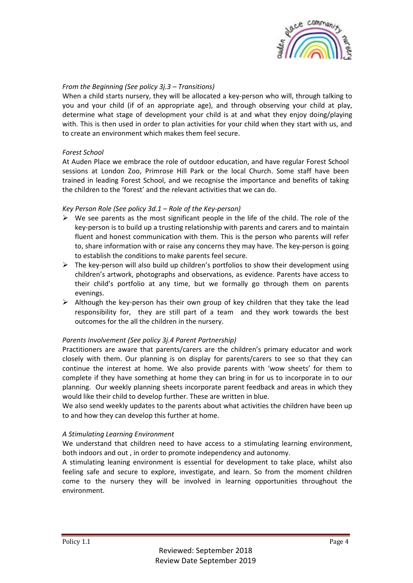

# *From the Beginning (See policy 3j.3 – Transitions)*

When a child starts nursery, they will be allocated a key-person who will, through talking to you and your child (if of an appropriate age), and through observing your child at play, determine what stage of development your child is at and what they enjoy doing/playing with. This is then used in order to plan activities for your child when they start with us, and to create an environment which makes them feel secure.

### *Forest School*

At Auden Place we embrace the role of outdoor education, and have regular Forest School sessions at London Zoo, Primrose Hill Park or the local Church. Some staff have been trained in leading Forest School, and we recognise the importance and benefits of taking the children to the 'forest' and the relevant activities that we can do.

### *Key Person Role (See policy 3d.1 – Role of the Key-person)*

- $\triangleright$  We see parents as the most significant people in the life of the child. The role of the key-person is to build up a trusting relationship with parents and carers and to maintain fluent and honest communication with them. This is the person who parents will refer to, share information with or raise any concerns they may have. The key-person is going to establish the conditions to make parents feel secure.
- $\triangleright$  The key-person will also build up children's portfolios to show their development using children's artwork, photographs and observations, as evidence. Parents have access to their child's portfolio at any time, but we formally go through them on parents evenings.
- ➢ Although the key-person has their own group of key children that they take the lead responsibility for, they are still part of a team and they work towards the best outcomes for the all the children in the nursery.

# *Parents Involvement (See policy 3j.4 Parent Partnership)*

Practitioners are aware that parents/carers are the children's primary educator and work closely with them. Our planning is on display for parents/carers to see so that they can continue the interest at home. We also provide parents with 'wow sheets' for them to complete if they have something at home they can bring in for us to incorporate in to our planning. Our weekly planning sheets incorporate parent feedback and areas in which they would like their child to develop further. These are written in blue.

We also send weekly updates to the parents about what activities the children have been up to and how they can develop this further at home.

### *A Stimulating Learning Environment*

We understand that children need to have access to a stimulating learning environment, both indoors and out , in order to promote independency and autonomy.

A stimulating leaning environment is essential for development to take place, whilst also feeling safe and secure to explore, investigate, and learn. So from the moment children come to the nursery they will be involved in learning opportunities throughout the environment.